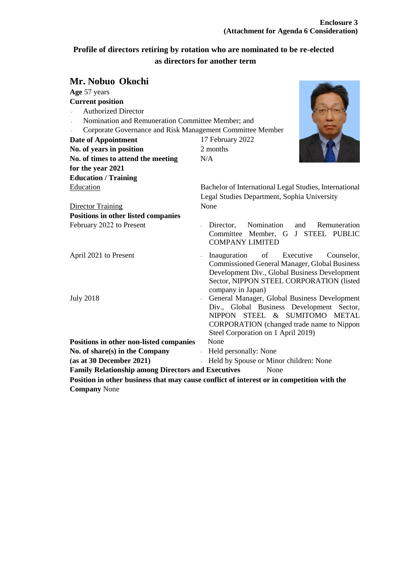# **Profile of directors retiring by rotation who are nominated to be re-elected as directors for another term**

# **Mr. Nobuo Okochi**

| wa woway Onven                                                            |                                                                                                                                                                                                                         |
|---------------------------------------------------------------------------|-------------------------------------------------------------------------------------------------------------------------------------------------------------------------------------------------------------------------|
| Age 57 years                                                              |                                                                                                                                                                                                                         |
| <b>Current position</b>                                                   |                                                                                                                                                                                                                         |
| <b>Authorized Director</b><br>$\omega_{\rm{eff}}$                         |                                                                                                                                                                                                                         |
| $\mathbb{Z}^{n-1}$<br>Nomination and Remuneration Committee Member; and   |                                                                                                                                                                                                                         |
| Corporate Governance and Risk Management Committee Member<br>$\mathbf{r}$ |                                                                                                                                                                                                                         |
| <b>Date of Appointment</b>                                                | 17 February 2022                                                                                                                                                                                                        |
| No. of years in position                                                  | 2 months                                                                                                                                                                                                                |
| No. of times to attend the meeting                                        | N/A                                                                                                                                                                                                                     |
| for the year 2021                                                         |                                                                                                                                                                                                                         |
| <b>Education / Training</b>                                               |                                                                                                                                                                                                                         |
| Education                                                                 | Bachelor of International Legal Studies, International<br>Legal Studies Department, Sophia University                                                                                                                   |
| Director Training                                                         | None                                                                                                                                                                                                                    |
| <b>Positions in other listed companies</b>                                |                                                                                                                                                                                                                         |
| February 2022 to Present                                                  | Nomination<br>Director,<br>and<br>Remuneration<br>Committee Member, G J STEEL PUBLIC<br><b>COMPANY LIMITED</b>                                                                                                          |
| April 2021 to Present                                                     | Executive<br>Inauguration<br>of<br>Counselor,<br><b>Commissioned General Manager, Global Business</b><br>Development Div., Global Business Development<br>Sector, NIPPON STEEL CORPORATION (listed<br>company in Japan) |
| <b>July 2018</b>                                                          | General Manager, Global Business Development<br>Div., Global Business Development Sector,<br>NIPPON STEEL & SUMITOMO METAL<br>CORPORATION (changed trade name to Nippon<br>Steel Corporation on 1 April 2019)           |
| Positions in other non-listed companies                                   | None                                                                                                                                                                                                                    |
| No. of share(s) in the Company                                            | - Held personally: None                                                                                                                                                                                                 |
| (as at 30 December 2021)                                                  | - Held by Spouse or Minor children: None                                                                                                                                                                                |
| <b>Family Relationship among Directors and Executives</b>                 | None                                                                                                                                                                                                                    |
|                                                                           |                                                                                                                                                                                                                         |

**Position in other business that may cause conflict of interest or in competition with the Company** None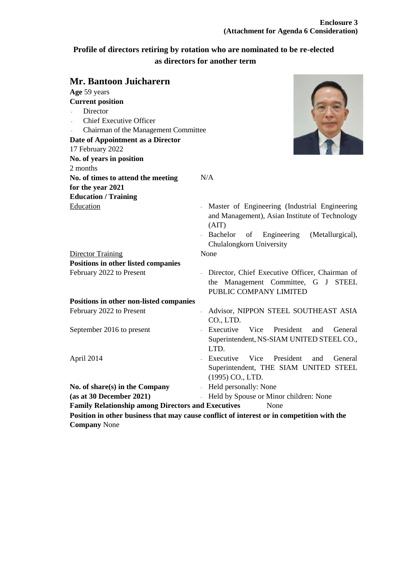# **Profile of directors retiring by rotation who are nominated to be re-elected as directors for another term**

| Mr. Bantoon Juicharern                                            |                                                                                                                 |
|-------------------------------------------------------------------|-----------------------------------------------------------------------------------------------------------------|
| Age 59 years                                                      |                                                                                                                 |
| <b>Current position</b>                                           |                                                                                                                 |
| Director                                                          |                                                                                                                 |
| <b>Chief Executive Officer</b>                                    |                                                                                                                 |
| Chairman of the Management Committee                              |                                                                                                                 |
| Date of Appointment as a Director                                 |                                                                                                                 |
| 17 February 2022                                                  |                                                                                                                 |
| No. of years in position                                          |                                                                                                                 |
| 2 months                                                          |                                                                                                                 |
| No. of times to attend the meeting                                | N/A                                                                                                             |
| for the year 2021                                                 |                                                                                                                 |
| <b>Education / Training</b>                                       |                                                                                                                 |
| Education                                                         | Master of Engineering (Industrial Engineering<br>and Management), Asian Institute of Technology<br>(AIT)        |
|                                                                   | Engineering<br>Bachelor<br>of<br>(Metallurgical),<br>Chulalongkorn University                                   |
| <b>Director Training</b>                                          | None                                                                                                            |
| Positions in other listed companies                               |                                                                                                                 |
| February 2022 to Present                                          | Director, Chief Executive Officer, Chairman of<br>the Management Committee, G J STEEL<br>PUBLIC COMPANY LIMITED |
| Positions in other non-listed companies                           |                                                                                                                 |
| February 2022 to Present                                          | Advisor, NIPPON STEEL SOUTHEAST ASIA<br>$\mathbb{R}^{\mathbb{Z}}$<br>CO., LTD.                                  |
| September 2016 to present                                         | Executive<br>Vice<br>President<br>General<br>and<br>Superintendent, NS-SIAM UNITED STEEL CO.,<br>LTD.           |
| April 2014                                                        | Executive<br>Vice<br>President<br>General<br>and<br>Superintendent, THE SIAM UNITED STEEL<br>(1995) CO., LTD.   |
| No. of share(s) in the Company                                    | Held personally: None                                                                                           |
| (as at 30 December 2021)                                          | Held by Spouse or Minor children: None                                                                          |
| <b>Family Relationship among Directors and Executives</b><br>None |                                                                                                                 |
|                                                                   | Position in other business that may cause conflict of interest or in competition with the                       |
| <b>Company None</b>                                               |                                                                                                                 |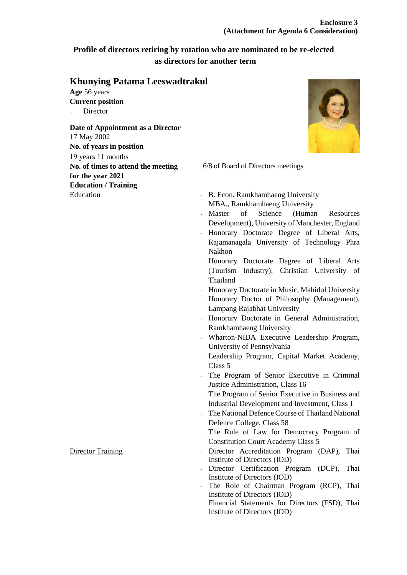### **Profile of directors retiring by rotation who are nominated to be re-elected as directors for another term**

### **Khunying Patama Leeswadtrakul**

**Age** 56 years **Current position Director** 

### **Date of Appointment as a Director** 17 May 2002 **No. of years in position** 19 years 11 months **No. of times to attend the meeting for the year 2021 Education / Training**



6/8 of Board of Directors meetings

- Education B. Econ. Ramkhamhaeng University
	- MBA., Ramkhamhaeng University
	- Master of Science (Human Resources Development), University of Manchester, England
	- Honorary Doctorate Degree of Liberal Arts, Rajamanagala University of Technology Phra Nakhon
	- Honorary Doctorate Degree of Liberal Arts (Tourism Industry), Christian University of Thailand
	- Honorary Doctorate in Music, Mahidol University
	- Honorary Doctor of Philosophy (Management), Lampang Rajabhat University
	- Honorary Doctorate in General Administration, Ramkhamhaeng University
	- Wharton-NIDA Executive Leadership Program, University of Pennsylvania
	- Leadership Program, Capital Market Academy, Class 5
	- The Program of Senior Executive in Criminal Justice Administration, Class 16
	- The Program of Senior Executive in Business and Industrial Development and Investment, Class 1
	- The National Defence Course of Thailand National Defence College, Class 58
	- The Rule of Law for Democracy Program of Constitution Court Academy Class 5
- Director Training Director Accreditation Program (DAP), Thai Institute of Directors (IOD)
	- Director Certification Program (DCP), Thai Institute of Directors (IOD)
	- The Role of Chairman Program (RCP), Thai Institute of Directors (IOD)
	- Financial Statements for Directors (FSD), Thai Institute of Directors (IOD)